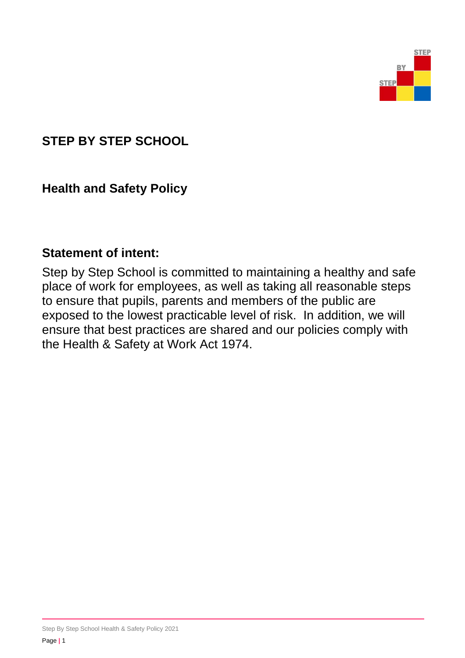

# **STEP BY STEP SCHOOL**

## **Health and Safety Policy**

## **Statement of intent:**

Step by Step School is committed to maintaining a healthy and safe place of work for employees, as well as taking all reasonable steps to ensure that pupils, parents and members of the public are exposed to the lowest practicable level of risk. In addition, we will ensure that best practices are shared and our policies comply with the Health & Safety at Work Act 1974.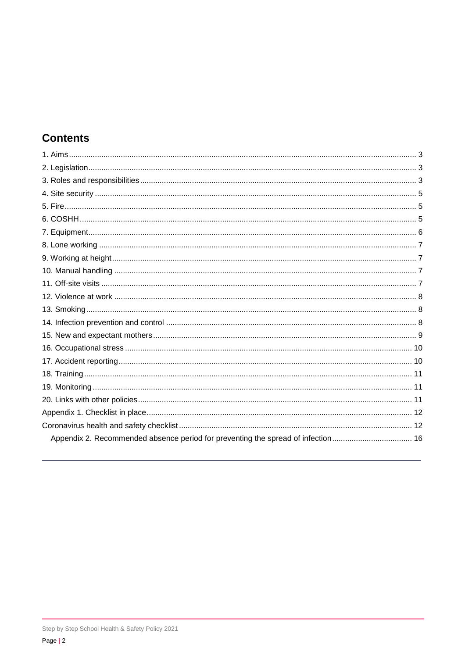## **Contents**

<span id="page-1-0"></span>

| Appendix 2. Recommended absence period for preventing the spread of infection 16 |  |
|----------------------------------------------------------------------------------|--|
|                                                                                  |  |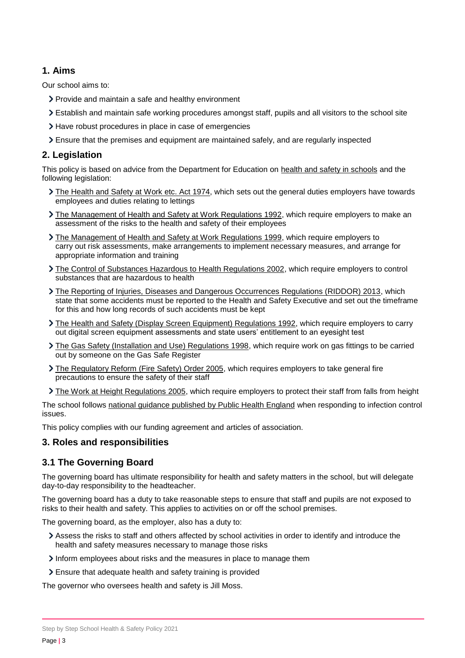## **1. Aims**

Our school aims to:

- > Provide and maintain a safe and healthy environment
- Establish and maintain safe working procedures amongst staff, pupils and all visitors to the school site
- > Have robust procedures in place in case of emergencies
- Ensure that the premises and equipment are maintained safely, and are regularly inspected

## <span id="page-2-0"></span>**2. Legislation**

This policy is based on advice from the Department for Education on [health and safety in schools](https://www.gov.uk/government/publications/health-and-safety-advice-for-schools) and the following legislation:

- [The Health and Safety at Work etc. Act 1974,](http://www.legislation.gov.uk/ukpga/1974/37) which sets out the general duties employers have towards employees and duties relating to lettings
- > [The Management of Health and Safety at Work Regulations 1992,](http://www.legislation.gov.uk/uksi/1992/2051/regulation/3/made) which require employers to make an assessment of the risks to the health and safety of their employees
- [The Management of Health and Safety at Work Regulations 1999,](http://www.legislation.gov.uk/uksi/1999/3242/contents/made) which require employers to carry out risk assessments, make arrangements to implement necessary measures, and arrange for appropriate information and training
- [The Control of Substances Hazardous to Health Regulations 2002,](http://www.legislation.gov.uk/uksi/2002/2677/contents/made) which require employers to control substances that are hazardous to health
- [The Reporting of Injuries, Diseases and Dangerous Occurrences Regulations \(RIDDOR\) 2013,](http://www.legislation.gov.uk/uksi/2013/1471/schedule/1/paragraph/1/made) which state that some accidents must be reported to the Health and Safety Executive and set out the timeframe for this and how long records of such accidents must be kept
- [The Health and Safety \(Display Screen Equipment\) Regulations 1992,](http://www.legislation.gov.uk/uksi/1992/2792/contents/made) which require employers to carry out digital screen equipment assessments and state users' entitlement to an eyesight test
- > [The Gas Safety \(Installation and Use\) Regulations 1998,](http://www.legislation.gov.uk/uksi/1998/2451/regulation/4/made) which require work on gas fittings to be carried out by someone on the Gas Safe Register
- [The Regulatory Reform \(Fire Safety\) Order 2005,](http://www.legislation.gov.uk/uksi/2005/1541/part/2/made) which requires employers to take general fire precautions to ensure the safety of their staff
- [The Work at Height Regulations 2005,](http://www.legislation.gov.uk/uksi/2005/735/contents/made) which require employers to protect their staff from falls from height

The school follows [national guidance published by Public Health England](https://www.gov.uk/government/publications/health-protection-in-schools-and-other-childcare-facilities/chapter-9-managing-specific-infectious-diseases) when responding to infection control issues.

This policy complies with our funding agreement and articles of association.

## <span id="page-2-1"></span>**3. Roles and responsibilities**

## **3.1 The Governing Board**

The governing board has ultimate responsibility for health and safety matters in the school, but will delegate day-to-day responsibility to the headteacher.

The governing board has a duty to take reasonable steps to ensure that staff and pupils are not exposed to risks to their health and safety. This applies to activities on or off the school premises.

The governing board, as the employer, also has a duty to:

- Assess the risks to staff and others affected by school activities in order to identify and introduce the health and safety measures necessary to manage those risks
- Inform employees about risks and the measures in place to manage them
- Ensure that adequate health and safety training is provided

The governor who oversees health and safety is Jill Moss.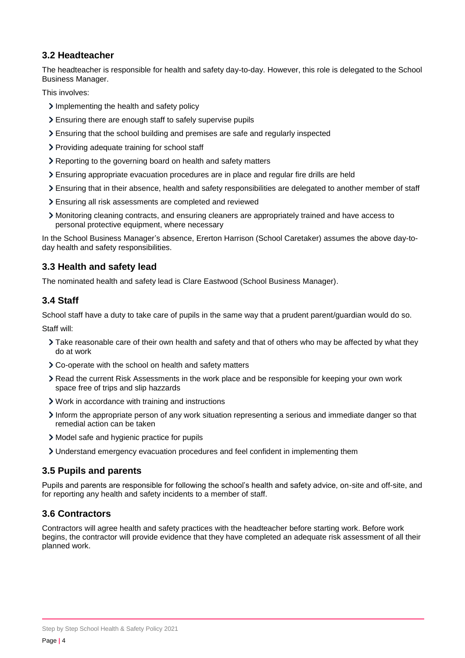## **3.2 Headteacher**

The headteacher is responsible for health and safety day-to-day. However, this role is delegated to the School Business Manager.

This involves:

- Implementing the health and safety policy
- Ensuring there are enough staff to safely supervise pupils
- Ensuring that the school building and premises are safe and regularly inspected
- > Providing adequate training for school staff
- Reporting to the governing board on health and safety matters
- Ensuring appropriate evacuation procedures are in place and regular fire drills are held
- Ensuring that in their absence, health and safety responsibilities are delegated to another member of staff
- Ensuring all risk assessments are completed and reviewed
- Monitoring cleaning contracts, and ensuring cleaners are appropriately trained and have access to personal protective equipment, where necessary

In the School Business Manager's absence, Ererton Harrison (School Caretaker) assumes the above day-today health and safety responsibilities.

## **3.3 Health and safety lead**

The nominated health and safety lead is Clare Eastwood (School Business Manager).

## **3.4 Staff**

School staff have a duty to take care of pupils in the same way that a prudent parent/guardian would do so.

Staff will:

- Take reasonable care of their own health and safety and that of others who may be affected by what they do at work
- Co-operate with the school on health and safety matters
- Read the current Risk Assessments in the work place and be responsible for keeping your own work space free of trips and slip hazzards
- Work in accordance with training and instructions
- Inform the appropriate person of any work situation representing a serious and immediate danger so that remedial action can be taken
- Model safe and hygienic practice for pupils
- Understand emergency evacuation procedures and feel confident in implementing them

## **3.5 Pupils and parents**

Pupils and parents are responsible for following the school's health and safety advice, on-site and off-site, and for reporting any health and safety incidents to a member of staff.

## **3.6 Contractors**

Contractors will agree health and safety practices with the headteacher before starting work. Before work begins, the contractor will provide evidence that they have completed an adequate risk assessment of all their planned work.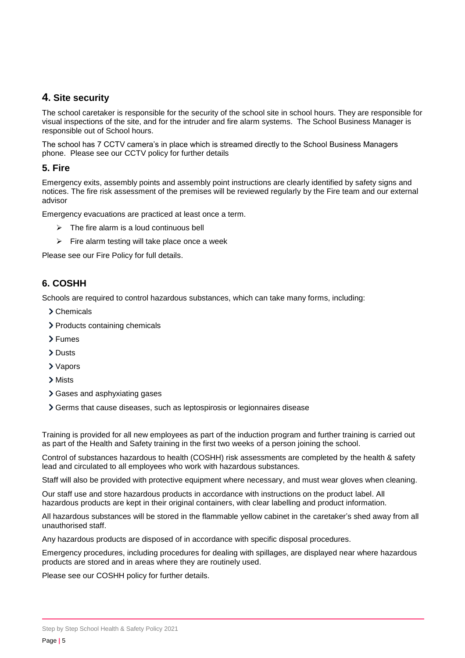## <span id="page-4-0"></span>**4. Site security**

The school caretaker is responsible for the security of the school site in school hours. They are responsible for visual inspections of the site, and for the intruder and fire alarm systems. The School Business Manager is responsible out of School hours.

The school has 7 CCTV camera's in place which is streamed directly to the School Business Managers phone. Please see our CCTV policy for further details

#### <span id="page-4-1"></span>**5. Fire**

Emergency exits, assembly points and assembly point instructions are clearly identified by safety signs and notices. The fire risk assessment of the premises will be reviewed regularly by the Fire team and our external advisor

Emergency evacuations are practiced at least once a term.

- $\triangleright$  The fire alarm is a loud continuous bell
- $\triangleright$  Fire alarm testing will take place once a week

Please see our Fire Policy for full details.

## <span id="page-4-2"></span>**6. COSHH**

Schools are required to control hazardous substances, which can take many forms, including:

- > Chemicals
- > Products containing chemicals
- > Fumes
- > Dusts
- Vapors
- Mists
- > Gases and asphyxiating gases
- Germs that cause diseases, such as leptospirosis or legionnaires disease

Training is provided for all new employees as part of the induction program and further training is carried out as part of the Health and Safety training in the first two weeks of a person joining the school.

Control of substances hazardous to health (COSHH) risk assessments are completed by the health & safety lead and circulated to all employees who work with hazardous substances.

Staff will also be provided with protective equipment where necessary, and must wear gloves when cleaning.

Our staff use and store hazardous products in accordance with instructions on the product label. All hazardous products are kept in their original containers, with clear labelling and product information.

All hazardous substances will be stored in the flammable yellow cabinet in the caretaker's shed away from all unauthorised staff.

Any hazardous products are disposed of in accordance with specific disposal procedures.

Emergency procedures, including procedures for dealing with spillages, are displayed near where hazardous products are stored and in areas where they are routinely used.

Please see our COSHH policy for further details.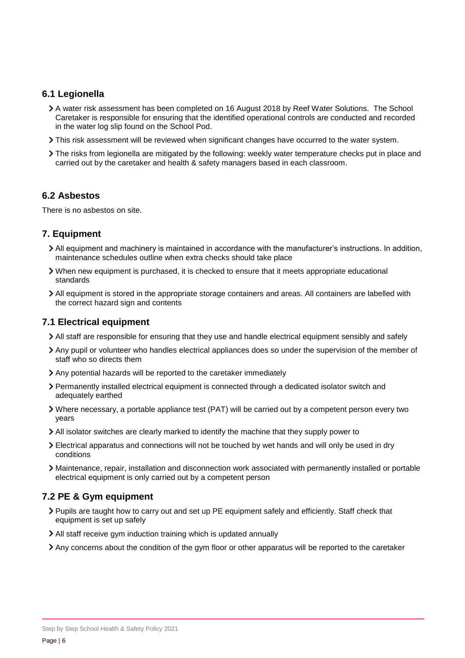#### **6.1 Legionella**

- A water risk assessment has been completed on 16 August 2018 by Reef Water Solutions. The School Caretaker is responsible for ensuring that the identified operational controls are conducted and recorded in the water log slip found on the School Pod.
- This risk assessment will be reviewed when significant changes have occurred to the water system.
- The risks from legionella are mitigated by the following: weekly water temperature checks put in place and carried out by the caretaker and health & safety managers based in each classroom.

#### **6.2 Asbestos**

There is no asbestos on site.

#### <span id="page-5-0"></span>**7. Equipment**

- All equipment and machinery is maintained in accordance with the manufacturer's instructions. In addition, maintenance schedules outline when extra checks should take place
- When new equipment is purchased, it is checked to ensure that it meets appropriate educational standards
- All equipment is stored in the appropriate storage containers and areas. All containers are labelled with the correct hazard sign and contents

#### **7.1 Electrical equipment**

- All staff are responsible for ensuring that they use and handle electrical equipment sensibly and safely
- Any pupil or volunteer who handles electrical appliances does so under the supervision of the member of staff who so directs them
- Any potential hazards will be reported to the caretaker immediately
- Permanently installed electrical equipment is connected through a dedicated isolator switch and adequately earthed
- Where necessary, a portable appliance test (PAT) will be carried out by a competent person every two years
- All isolator switches are clearly marked to identify the machine that they supply power to
- Electrical apparatus and connections will not be touched by wet hands and will only be used in dry conditions
- Maintenance, repair, installation and disconnection work associated with permanently installed or portable electrical equipment is only carried out by a competent person

## **7.2 PE & Gym equipment**

- Pupils are taught how to carry out and set up PE equipment safely and efficiently. Staff check that equipment is set up safely
- All staff receive gym induction training which is updated annually
- Any concerns about the condition of the gym floor or other apparatus will be reported to the caretaker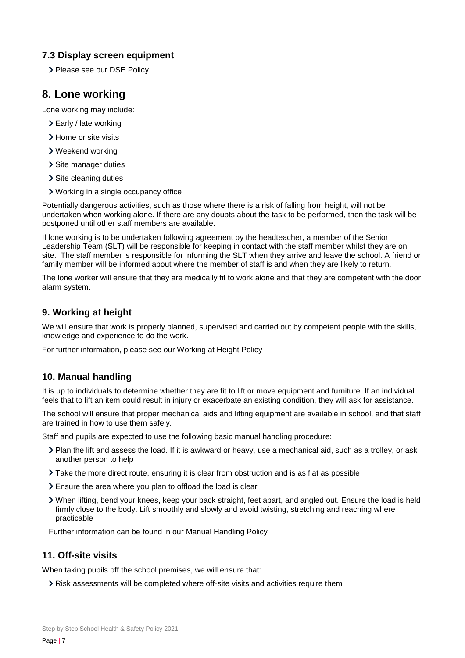## **7.3 Display screen equipment**

> Please see our DSE Policy

## <span id="page-6-0"></span>**8. Lone working**

Lone working may include:

- Early / late working
- > Home or site visits
- Weekend working
- > Site manager duties
- > Site cleaning duties
- Working in a single occupancy office

Potentially dangerous activities, such as those where there is a risk of falling from height, will not be undertaken when working alone. If there are any doubts about the task to be performed, then the task will be postponed until other staff members are available.

If lone working is to be undertaken following agreement by the headteacher, a member of the Senior Leadership Team (SLT) will be responsible for keeping in contact with the staff member whilst they are on site. The staff member is responsible for informing the SLT when they arrive and leave the school. A friend or family member will be informed about where the member of staff is and when they are likely to return.

The lone worker will ensure that they are medically fit to work alone and that they are competent with the door alarm system.

## <span id="page-6-1"></span>**9. Working at height**

We will ensure that work is properly planned, supervised and carried out by competent people with the skills, knowledge and experience to do the work.

For further information, please see our Working at Height Policy

## <span id="page-6-2"></span>**10. Manual handling**

It is up to individuals to determine whether they are fit to lift or move equipment and furniture. If an individual feels that to lift an item could result in injury or exacerbate an existing condition, they will ask for assistance.

The school will ensure that proper mechanical aids and lifting equipment are available in school, and that staff are trained in how to use them safely.

Staff and pupils are expected to use the following basic manual handling procedure:

- Plan the lift and assess the load. If it is awkward or heavy, use a mechanical aid, such as a trolley, or ask another person to help
- Take the more direct route, ensuring it is clear from obstruction and is as flat as possible
- Ensure the area where you plan to offload the load is clear
- When lifting, bend your knees, keep your back straight, feet apart, and angled out. Ensure the load is held firmly close to the body. Lift smoothly and slowly and avoid twisting, stretching and reaching where practicable

Further information can be found in our Manual Handling Policy

## <span id="page-6-3"></span>**11. Off-site visits**

When taking pupils off the school premises, we will ensure that:

Risk assessments will be completed where off-site visits and activities require them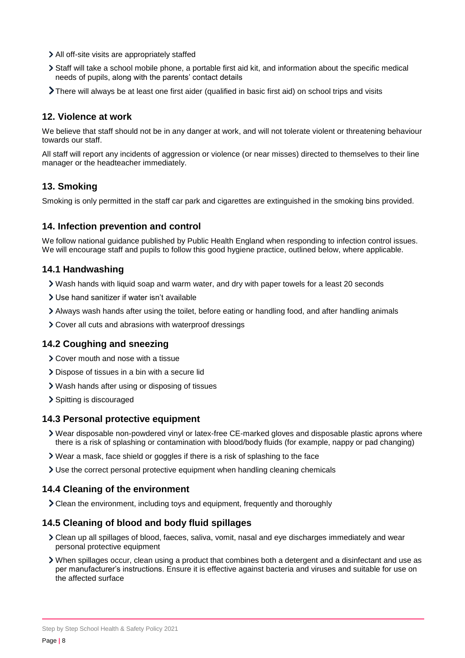- All off-site visits are appropriately staffed
- Staff will take a school mobile phone, a portable first aid kit, and information about the specific medical needs of pupils, along with the parents' contact details
- There will always be at least one first aider (qualified in basic first aid) on school trips and visits

#### <span id="page-7-0"></span>**12. Violence at work**

We believe that staff should not be in any danger at work, and will not tolerate violent or threatening behaviour towards our staff.

All staff will report any incidents of aggression or violence (or near misses) directed to themselves to their line manager or the headteacher immediately.

## <span id="page-7-1"></span>**13. Smoking**

Smoking is only permitted in the staff car park and cigarettes are extinguished in the smoking bins provided.

#### <span id="page-7-2"></span>**14. Infection prevention and control**

We follow national guidance published by Public Health England when responding to infection control issues. We will encourage staff and pupils to follow this good hygiene practice, outlined below, where applicable.

#### **14.1 Handwashing**

- Wash hands with liquid soap and warm water, and dry with paper towels for a least 20 seconds
- Use hand sanitizer if water isn't available
- Always wash hands after using the toilet, before eating or handling food, and after handling animals
- Cover all cuts and abrasions with waterproof dressings

#### **14.2 Coughing and sneezing**

- Cover mouth and nose with a tissue
- Dispose of tissues in a bin with a secure lid
- Wash hands after using or disposing of tissues
- > Spitting is discouraged

#### **14.3 Personal protective equipment**

- Wear disposable non-powdered vinyl or latex-free CE-marked gloves and disposable plastic aprons where there is a risk of splashing or contamination with blood/body fluids (for example, nappy or pad changing)
- Wear a mask, face shield or goggles if there is a risk of splashing to the face
- Use the correct personal protective equipment when handling cleaning chemicals

#### **14.4 Cleaning of the environment**

Clean the environment, including toys and equipment, frequently and thoroughly

#### **14.5 Cleaning of blood and body fluid spillages**

- Clean up all spillages of blood, faeces, saliva, vomit, nasal and eye discharges immediately and wear personal protective equipment
- When spillages occur, clean using a product that combines both a detergent and a disinfectant and use as per manufacturer's instructions. Ensure it is effective against bacteria and viruses and suitable for use on the affected surface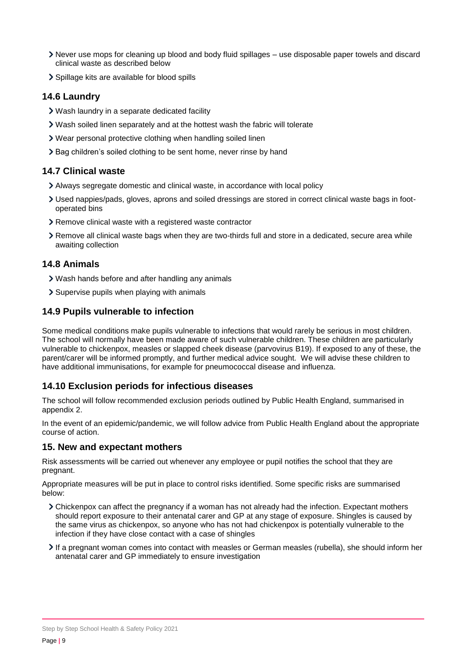- Never use mops for cleaning up blood and body fluid spillages use disposable paper towels and discard clinical waste as described below
- > Spillage kits are available for blood spills

#### **14.6 Laundry**

- Wash laundry in a separate dedicated facility
- Wash soiled linen separately and at the hottest wash the fabric will tolerate
- Wear personal protective clothing when handling soiled linen
- > Bag children's soiled clothing to be sent home, never rinse by hand

#### **14.7 Clinical waste**

- Always segregate domestic and clinical waste, in accordance with local policy
- Used nappies/pads, gloves, aprons and soiled dressings are stored in correct clinical waste bags in footoperated bins
- Remove clinical waste with a registered waste contractor
- Remove all clinical waste bags when they are two-thirds full and store in a dedicated, secure area while awaiting collection

#### **14.8 Animals**

- Wash hands before and after handling any animals
- > Supervise pupils when playing with animals

#### **14.9 Pupils vulnerable to infection**

Some medical conditions make pupils vulnerable to infections that would rarely be serious in most children. The school will normally have been made aware of such vulnerable children. These children are particularly vulnerable to chickenpox, measles or slapped cheek disease (parvovirus B19). If exposed to any of these, the parent/carer will be informed promptly, and further medical advice sought. We will advise these children to have additional immunisations, for example for pneumococcal disease and influenza.

#### **14.10 Exclusion periods for infectious diseases**

The school will follow recommended exclusion periods outlined by Public Health England, summarised in appendix 2.

In the event of an epidemic/pandemic, we will follow advice from Public Health England about the appropriate course of action.

#### <span id="page-8-0"></span>**15. New and expectant mothers**

Risk assessments will be carried out whenever any employee or pupil notifies the school that they are pregnant.

Appropriate measures will be put in place to control risks identified. Some specific risks are summarised below:

- Chickenpox can affect the pregnancy if a woman has not already had the infection. Expectant mothers should report exposure to their antenatal carer and GP at any stage of exposure. Shingles is caused by the same virus as chickenpox, so anyone who has not had chickenpox is potentially vulnerable to the infection if they have close contact with a case of shingles
- If a pregnant woman comes into contact with measles or German measles (rubella), she should inform her antenatal carer and GP immediately to ensure investigation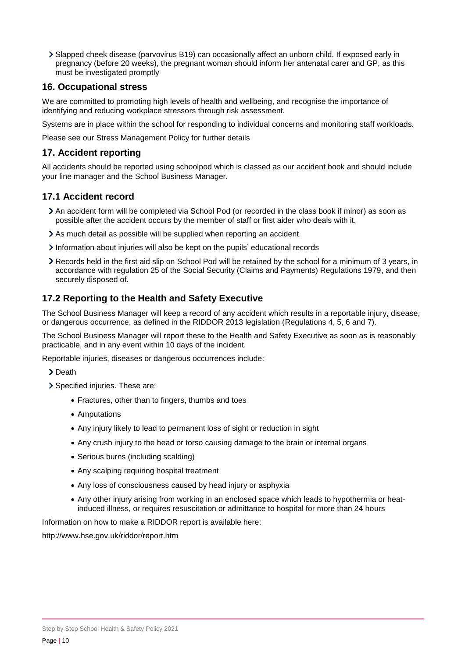Slapped cheek disease (parvovirus B19) can occasionally affect an unborn child. If exposed early in pregnancy (before 20 weeks), the pregnant woman should inform her antenatal carer and GP, as this must be investigated promptly

## <span id="page-9-0"></span>**16. Occupational stress**

We are committed to promoting high levels of health and wellbeing, and recognise the importance of identifying and reducing workplace stressors through risk assessment.

Systems are in place within the school for responding to individual concerns and monitoring staff workloads.

Please see our Stress Management Policy for further details

## <span id="page-9-1"></span>**17. Accident reporting**

All accidents should be reported using schoolpod which is classed as our accident book and should include your line manager and the School Business Manager.

#### **17.1 Accident record**

- An accident form will be completed via School Pod (or recorded in the class book if minor) as soon as possible after the accident occurs by the member of staff or first aider who deals with it.
- As much detail as possible will be supplied when reporting an accident
- Information about injuries will also be kept on the pupils' educational records
- Records held in the first aid slip on School Pod will be retained by the school for a minimum of 3 years, in accordance with regulation 25 of the Social Security (Claims and Payments) Regulations 1979, and then securely disposed of.

## **17.2 Reporting to the Health and Safety Executive**

The School Business Manager will keep a record of any accident which results in a reportable injury, disease, or dangerous occurrence, as defined in the RIDDOR 2013 legislation (Regulations 4, 5, 6 and 7).

The School Business Manager will report these to the Health and Safety Executive as soon as is reasonably practicable, and in any event within 10 days of the incident.

Reportable injuries, diseases or dangerous occurrences include:

> Death

> Specified injuries. These are:

- Fractures, other than to fingers, thumbs and toes
- Amputations
- Any injury likely to lead to permanent loss of sight or reduction in sight
- Any crush injury to the head or torso causing damage to the brain or internal organs
- Serious burns (including scalding)
- Any scalping requiring hospital treatment
- Any loss of consciousness caused by head injury or asphyxia
- Any other injury arising from working in an enclosed space which leads to hypothermia or heatinduced illness, or requires resuscitation or admittance to hospital for more than 24 hours

Information on how to make a RIDDOR report is available here:

http://www.hse.gov.uk/riddor/report.htm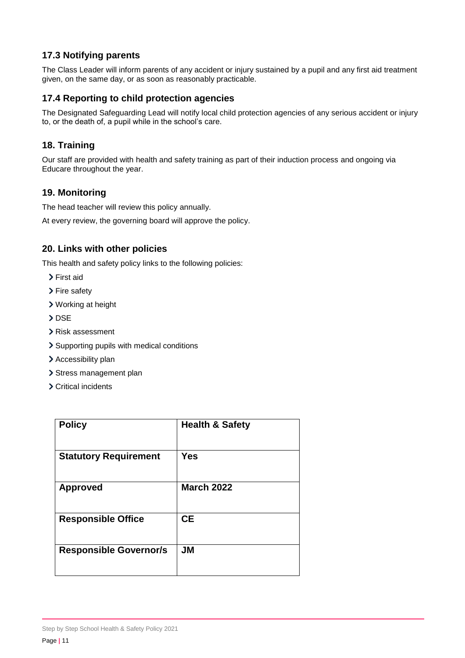## **17.3 Notifying parents**

The Class Leader will inform parents of any accident or injury sustained by a pupil and any first aid treatment given, on the same day, or as soon as reasonably practicable.

## **17.4 Reporting to child protection agencies**

The Designated Safeguarding Lead will notify local child protection agencies of any serious accident or injury to, or the death of, a pupil while in the school's care.

## <span id="page-10-0"></span>**18. Training**

Our staff are provided with health and safety training as part of their induction process and ongoing via Educare throughout the year.

## <span id="page-10-1"></span>**19. Monitoring**

The head teacher will review this policy annually.

At every review, the governing board will approve the policy.

## <span id="page-10-2"></span>**20. Links with other policies**

This health and safety policy links to the following policies:

- First aid
- > Fire safety
- Working at height
- >DSE
- Risk assessment
- > Supporting pupils with medical conditions
- > Accessibility plan
- > Stress management plan
- > Critical incidents

| <b>Policy</b>                 | <b>Health &amp; Safety</b> |
|-------------------------------|----------------------------|
| <b>Statutory Requirement</b>  | <b>Yes</b>                 |
| <b>Approved</b>               | <b>March 2022</b>          |
| <b>Responsible Office</b>     | <b>CE</b>                  |
| <b>Responsible Governor/s</b> | <b>JM</b>                  |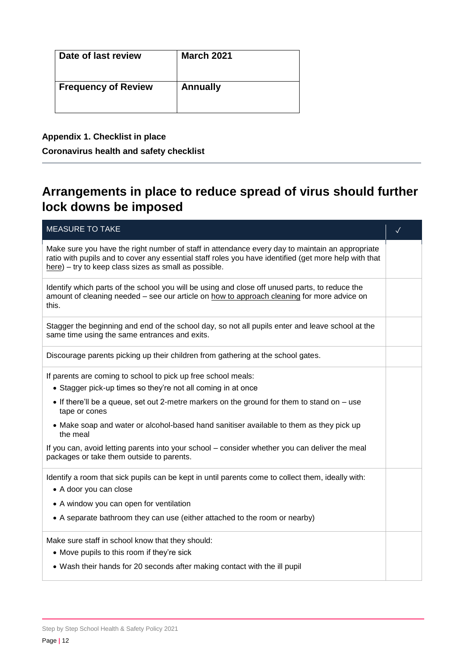| Date of last review        | <b>March 2021</b> |
|----------------------------|-------------------|
| <b>Frequency of Review</b> | <b>Annually</b>   |

<span id="page-11-0"></span>**Appendix 1. Checklist in place** 

<span id="page-11-1"></span>**Coronavirus health and safety checklist**

## **Arrangements in place to reduce spread of virus should further lock downs be imposed**

| <b>MEASURE TO TAKE</b>                                                                                                                                                                                                                                                                                                                                                                                                                                                                             | $\checkmark$ |
|----------------------------------------------------------------------------------------------------------------------------------------------------------------------------------------------------------------------------------------------------------------------------------------------------------------------------------------------------------------------------------------------------------------------------------------------------------------------------------------------------|--------------|
| Make sure you have the right number of staff in attendance every day to maintain an appropriate<br>ratio with pupils and to cover any essential staff roles you have identified (get more help with that<br>here) - try to keep class sizes as small as possible.                                                                                                                                                                                                                                  |              |
| Identify which parts of the school you will be using and close off unused parts, to reduce the<br>amount of cleaning needed - see our article on how to approach cleaning for more advice on<br>this.                                                                                                                                                                                                                                                                                              |              |
| Stagger the beginning and end of the school day, so not all pupils enter and leave school at the<br>same time using the same entrances and exits.                                                                                                                                                                                                                                                                                                                                                  |              |
| Discourage parents picking up their children from gathering at the school gates.                                                                                                                                                                                                                                                                                                                                                                                                                   |              |
| If parents are coming to school to pick up free school meals:<br>• Stagger pick-up times so they're not all coming in at once<br>• If there'll be a queue, set out 2-metre markers on the ground for them to stand on – use<br>tape or cones<br>• Make soap and water or alcohol-based hand sanitiser available to them as they pick up<br>the meal<br>If you can, avoid letting parents into your school – consider whether you can deliver the meal<br>packages or take them outside to parents. |              |
| Identify a room that sick pupils can be kept in until parents come to collect them, ideally with:<br>• A door you can close<br>• A window you can open for ventilation<br>• A separate bathroom they can use (either attached to the room or nearby)                                                                                                                                                                                                                                               |              |
| Make sure staff in school know that they should:<br>• Move pupils to this room if they're sick<br>• Wash their hands for 20 seconds after making contact with the ill pupil                                                                                                                                                                                                                                                                                                                        |              |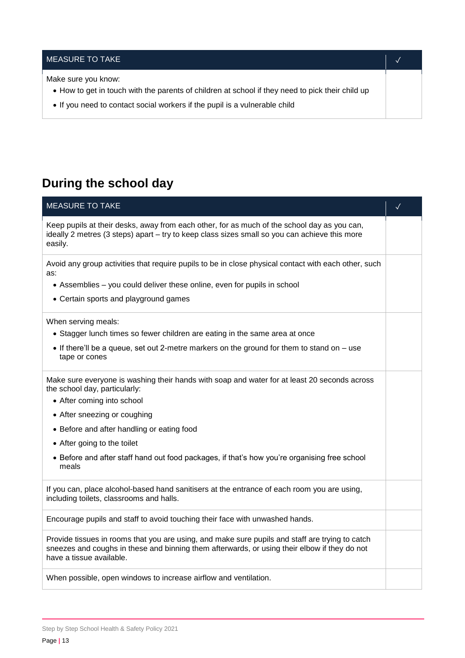| MEASURE TO TAKE                                                                                                                                                                                       |  |
|-------------------------------------------------------------------------------------------------------------------------------------------------------------------------------------------------------|--|
| Make sure you know:<br>• How to get in touch with the parents of children at school if they need to pick their child up<br>• If you need to contact social workers if the pupil is a vulnerable child |  |

# **During the school day**

| <b>MEASURE TO TAKE</b>                                                                                                                                                                                                      | $\checkmark$ |
|-----------------------------------------------------------------------------------------------------------------------------------------------------------------------------------------------------------------------------|--------------|
| Keep pupils at their desks, away from each other, for as much of the school day as you can,<br>ideally 2 metres (3 steps) apart – try to keep class sizes small so you can achieve this more<br>easily.                     |              |
| Avoid any group activities that require pupils to be in close physical contact with each other, such<br>as:                                                                                                                 |              |
| • Assemblies – you could deliver these online, even for pupils in school                                                                                                                                                    |              |
| • Certain sports and playground games                                                                                                                                                                                       |              |
| When serving meals:                                                                                                                                                                                                         |              |
| • Stagger lunch times so fewer children are eating in the same area at once                                                                                                                                                 |              |
| • If there'll be a queue, set out 2-metre markers on the ground for them to stand on – use<br>tape or cones                                                                                                                 |              |
| Make sure everyone is washing their hands with soap and water for at least 20 seconds across<br>the school day, particularly:                                                                                               |              |
| • After coming into school                                                                                                                                                                                                  |              |
| • After sneezing or coughing                                                                                                                                                                                                |              |
| • Before and after handling or eating food                                                                                                                                                                                  |              |
| • After going to the toilet                                                                                                                                                                                                 |              |
| • Before and after staff hand out food packages, if that's how you're organising free school<br>meals                                                                                                                       |              |
| If you can, place alcohol-based hand sanitisers at the entrance of each room you are using,<br>including toilets, classrooms and halls.                                                                                     |              |
| Encourage pupils and staff to avoid touching their face with unwashed hands.                                                                                                                                                |              |
| Provide tissues in rooms that you are using, and make sure pupils and staff are trying to catch<br>sneezes and coughs in these and binning them afterwards, or using their elbow if they do not<br>have a tissue available. |              |
| When possible, open windows to increase airflow and ventilation.                                                                                                                                                            |              |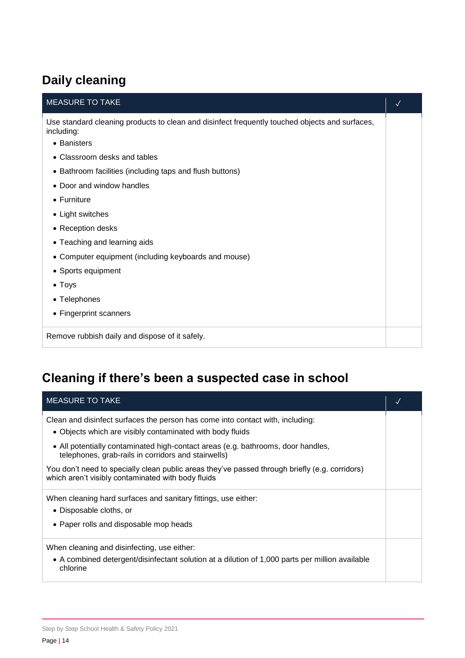# **Daily cleaning**

| <b>MEASURE TO TAKE</b>                                                                                                                                                                                                                                                                                                                                                                                                  | $\sqrt{}$ |
|-------------------------------------------------------------------------------------------------------------------------------------------------------------------------------------------------------------------------------------------------------------------------------------------------------------------------------------------------------------------------------------------------------------------------|-----------|
| Use standard cleaning products to clean and disinfect frequently touched objects and surfaces,<br>including:<br>• Banisters<br>• Classroom desks and tables<br>• Bathroom facilities (including taps and flush buttons)<br>Door and window handles<br>$\bullet$<br>$\bullet$ Furniture<br>• Light switches<br>• Reception desks<br>• Teaching and learning aids<br>• Computer equipment (including keyboards and mouse) |           |
| • Sports equipment<br>• Toys<br>• Telephones<br>• Fingerprint scanners                                                                                                                                                                                                                                                                                                                                                  |           |
| Remove rubbish daily and dispose of it safely.                                                                                                                                                                                                                                                                                                                                                                          |           |

# **Cleaning if there's been a suspected case in school**

| <b>MEASURE TO TAKE</b>                                                                                                                               |  |
|------------------------------------------------------------------------------------------------------------------------------------------------------|--|
| Clean and disinfect surfaces the person has come into contact with, including:<br>• Objects which are visibly contaminated with body fluids          |  |
| • All potentially contaminated high-contact areas (e.g. bathrooms, door handles,<br>telephones, grab-rails in corridors and stairwells)              |  |
| You don't need to specially clean public areas they've passed through briefly (e.g. corridors)<br>which aren't visibly contaminated with body fluids |  |
| When cleaning hard surfaces and sanitary fittings, use either:<br>• Disposable cloths, or                                                            |  |
| • Paper rolls and disposable mop heads                                                                                                               |  |
| When cleaning and disinfecting, use either:<br>• A combined detergent/disinfectant solution at a dilution of 1,000 parts per million available       |  |
| chlorine                                                                                                                                             |  |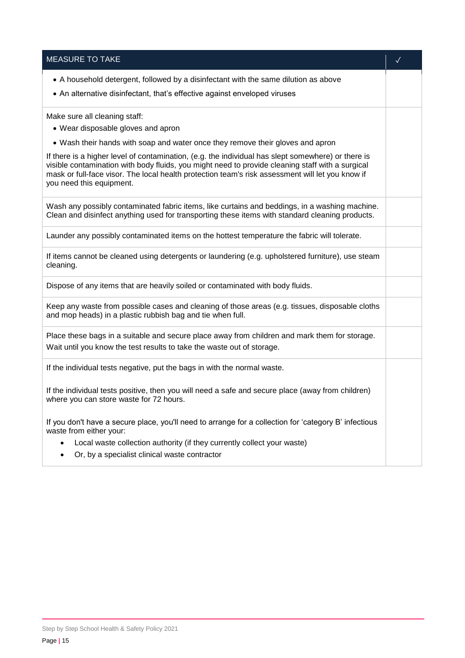| <b>MEASURE TO TAKE</b>                                                                                                                                                                                                                                                                                                                 | $\checkmark$ |
|----------------------------------------------------------------------------------------------------------------------------------------------------------------------------------------------------------------------------------------------------------------------------------------------------------------------------------------|--------------|
| • A household detergent, followed by a disinfectant with the same dilution as above                                                                                                                                                                                                                                                    |              |
| • An alternative disinfectant, that's effective against enveloped viruses                                                                                                                                                                                                                                                              |              |
| Make sure all cleaning staff:                                                                                                                                                                                                                                                                                                          |              |
| • Wear disposable gloves and apron                                                                                                                                                                                                                                                                                                     |              |
| • Wash their hands with soap and water once they remove their gloves and apron                                                                                                                                                                                                                                                         |              |
| If there is a higher level of contamination, (e.g. the individual has slept somewhere) or there is<br>visible contamination with body fluids, you might need to provide cleaning staff with a surgical<br>mask or full-face visor. The local health protection team's risk assessment will let you know if<br>you need this equipment. |              |
| Wash any possibly contaminated fabric items, like curtains and beddings, in a washing machine.<br>Clean and disinfect anything used for transporting these items with standard cleaning products.                                                                                                                                      |              |
| Launder any possibly contaminated items on the hottest temperature the fabric will tolerate.                                                                                                                                                                                                                                           |              |
| If items cannot be cleaned using detergents or laundering (e.g. upholstered furniture), use steam<br>cleaning.                                                                                                                                                                                                                         |              |
| Dispose of any items that are heavily soiled or contaminated with body fluids.                                                                                                                                                                                                                                                         |              |
| Keep any waste from possible cases and cleaning of those areas (e.g. tissues, disposable cloths<br>and mop heads) in a plastic rubbish bag and tie when full.                                                                                                                                                                          |              |
| Place these bags in a suitable and secure place away from children and mark them for storage.<br>Wait until you know the test results to take the waste out of storage.                                                                                                                                                                |              |
| If the individual tests negative, put the bags in with the normal waste.                                                                                                                                                                                                                                                               |              |
| If the individual tests positive, then you will need a safe and secure place (away from children)<br>where you can store waste for 72 hours.                                                                                                                                                                                           |              |
| If you don't have a secure place, you'll need to arrange for a collection for 'category B' infectious<br>waste from either your:                                                                                                                                                                                                       |              |
| Local waste collection authority (if they currently collect your waste)<br>Or, by a specialist clinical waste contractor                                                                                                                                                                                                               |              |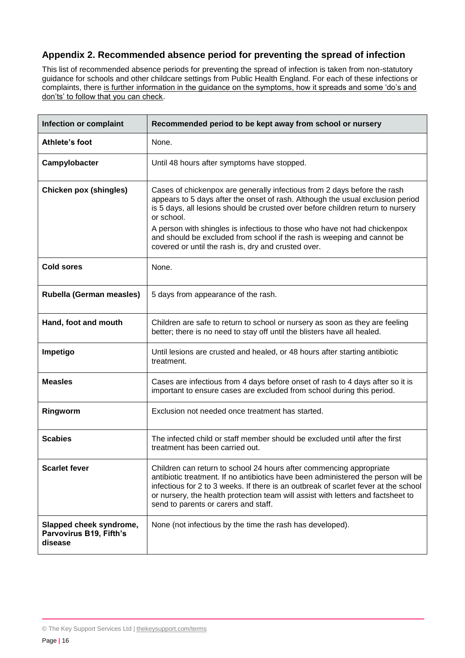## <span id="page-15-0"></span>**Appendix 2. Recommended absence period for preventing the spread of infection**

This list of recommended absence periods for preventing the spread of infection is taken from non-statutory guidance for schools and other childcare settings from Public Health England. For each of these infections or complaints, there [is further information in the guidance on the symptoms, how it spreads and some 'do's and](https://www.gov.uk/government/publications/health-protection-in-schools-and-other-childcare-facilities/chapter-9-managing-specific-infectious-diseases)  [don'ts' to follow that you can check.](https://www.gov.uk/government/publications/health-protection-in-schools-and-other-childcare-facilities/chapter-9-managing-specific-infectious-diseases)

| Infection or complaint                                               | Recommended period to be kept away from school or nursery                                                                                                                                                                                                                                                                                                                                                                                                                  |
|----------------------------------------------------------------------|----------------------------------------------------------------------------------------------------------------------------------------------------------------------------------------------------------------------------------------------------------------------------------------------------------------------------------------------------------------------------------------------------------------------------------------------------------------------------|
| Athlete's foot                                                       | None.                                                                                                                                                                                                                                                                                                                                                                                                                                                                      |
| Campylobacter                                                        | Until 48 hours after symptoms have stopped.                                                                                                                                                                                                                                                                                                                                                                                                                                |
| <b>Chicken pox (shingles)</b>                                        | Cases of chickenpox are generally infectious from 2 days before the rash<br>appears to 5 days after the onset of rash. Although the usual exclusion period<br>is 5 days, all lesions should be crusted over before children return to nursery<br>or school.<br>A person with shingles is infectious to those who have not had chickenpox<br>and should be excluded from school if the rash is weeping and cannot be<br>covered or until the rash is, dry and crusted over. |
| <b>Cold sores</b>                                                    | None.                                                                                                                                                                                                                                                                                                                                                                                                                                                                      |
| Rubella (German measles)                                             | 5 days from appearance of the rash.                                                                                                                                                                                                                                                                                                                                                                                                                                        |
| Hand, foot and mouth                                                 | Children are safe to return to school or nursery as soon as they are feeling<br>better; there is no need to stay off until the blisters have all healed.                                                                                                                                                                                                                                                                                                                   |
| Impetigo                                                             | Until lesions are crusted and healed, or 48 hours after starting antibiotic<br>treatment.                                                                                                                                                                                                                                                                                                                                                                                  |
| <b>Measles</b>                                                       | Cases are infectious from 4 days before onset of rash to 4 days after so it is<br>important to ensure cases are excluded from school during this period.                                                                                                                                                                                                                                                                                                                   |
| Ringworm                                                             | Exclusion not needed once treatment has started.                                                                                                                                                                                                                                                                                                                                                                                                                           |
| <b>Scabies</b>                                                       | The infected child or staff member should be excluded until after the first<br>treatment has been carried out.                                                                                                                                                                                                                                                                                                                                                             |
| <b>Scarlet fever</b>                                                 | Children can return to school 24 hours after commencing appropriate<br>antibiotic treatment. If no antibiotics have been administered the person will be<br>infectious for 2 to 3 weeks. If there is an outbreak of scarlet fever at the school<br>or nursery, the health protection team will assist with letters and factsheet to<br>send to parents or carers and staff.                                                                                                |
| Slapped cheek syndrome,<br><b>Parvovirus B19, Fifth's</b><br>disease | None (not infectious by the time the rash has developed).                                                                                                                                                                                                                                                                                                                                                                                                                  |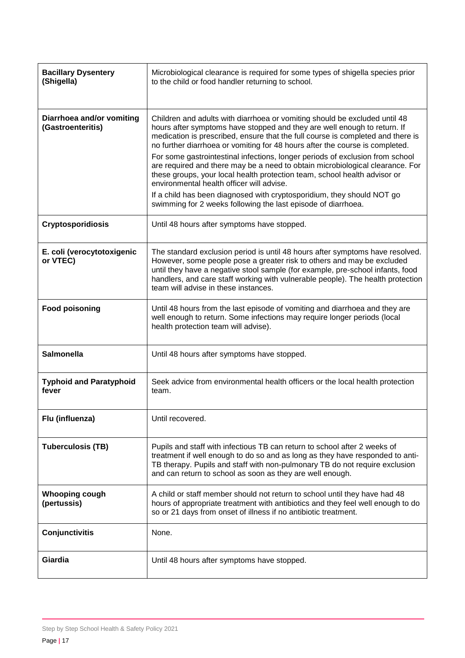| <b>Bacillary Dysentery</b><br>(Shigella)       | Microbiological clearance is required for some types of shigella species prior<br>to the child or food handler returning to school.                                                                                                                                                                                                                                  |
|------------------------------------------------|----------------------------------------------------------------------------------------------------------------------------------------------------------------------------------------------------------------------------------------------------------------------------------------------------------------------------------------------------------------------|
|                                                |                                                                                                                                                                                                                                                                                                                                                                      |
| Diarrhoea and/or vomiting<br>(Gastroenteritis) | Children and adults with diarrhoea or vomiting should be excluded until 48<br>hours after symptoms have stopped and they are well enough to return. If<br>medication is prescribed, ensure that the full course is completed and there is<br>no further diarrhoea or vomiting for 48 hours after the course is completed.                                            |
|                                                | For some gastrointestinal infections, longer periods of exclusion from school<br>are required and there may be a need to obtain microbiological clearance. For<br>these groups, your local health protection team, school health advisor or<br>environmental health officer will advise.                                                                             |
|                                                | If a child has been diagnosed with cryptosporidium, they should NOT go<br>swimming for 2 weeks following the last episode of diarrhoea.                                                                                                                                                                                                                              |
| <b>Cryptosporidiosis</b>                       | Until 48 hours after symptoms have stopped.                                                                                                                                                                                                                                                                                                                          |
| E. coli (verocytotoxigenic<br>or VTEC)         | The standard exclusion period is until 48 hours after symptoms have resolved.<br>However, some people pose a greater risk to others and may be excluded<br>until they have a negative stool sample (for example, pre-school infants, food<br>handlers, and care staff working with vulnerable people). The health protection<br>team will advise in these instances. |
| <b>Food poisoning</b>                          | Until 48 hours from the last episode of vomiting and diarrhoea and they are<br>well enough to return. Some infections may require longer periods (local<br>health protection team will advise).                                                                                                                                                                      |
| <b>Salmonella</b>                              | Until 48 hours after symptoms have stopped.                                                                                                                                                                                                                                                                                                                          |
| <b>Typhoid and Paratyphoid</b><br>fever        | Seek advice from environmental health officers or the local health protection<br>team.                                                                                                                                                                                                                                                                               |
| Flu (influenza)                                | Until recovered.                                                                                                                                                                                                                                                                                                                                                     |
| <b>Tuberculosis (TB)</b>                       | Pupils and staff with infectious TB can return to school after 2 weeks of<br>treatment if well enough to do so and as long as they have responded to anti-<br>TB therapy. Pupils and staff with non-pulmonary TB do not require exclusion<br>and can return to school as soon as they are well enough.                                                               |
| <b>Whooping cough</b><br>(pertussis)           | A child or staff member should not return to school until they have had 48<br>hours of appropriate treatment with antibiotics and they feel well enough to do<br>so or 21 days from onset of illness if no antibiotic treatment.                                                                                                                                     |
| Conjunctivitis                                 | None.                                                                                                                                                                                                                                                                                                                                                                |
| Giardia                                        | Until 48 hours after symptoms have stopped.                                                                                                                                                                                                                                                                                                                          |